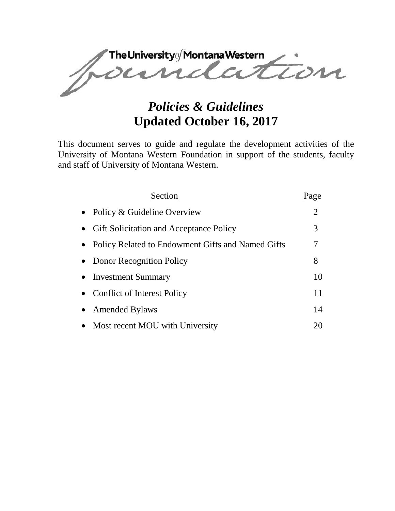The University of Montana Western<br>OCUMERATION

# *Policies & Guidelines*  **Updated October 16, 2017**

This document serves to guide and regulate the development activities of the University of Montana Western Foundation in support of the students, faculty and staff of University of Montana Western.

| Section                                             | Page           |
|-----------------------------------------------------|----------------|
| • Policy & Guideline Overview                       | $\overline{2}$ |
| • Gift Solicitation and Acceptance Policy           | 3              |
| • Policy Related to Endowment Gifts and Named Gifts | 7              |
| • Donor Recognition Policy                          | 8              |
| • Investment Summary                                | 10             |
| • Conflict of Interest Policy                       | 11             |
| • Amended Bylaws                                    | 14             |
| • Most recent MOU with University                   | 20             |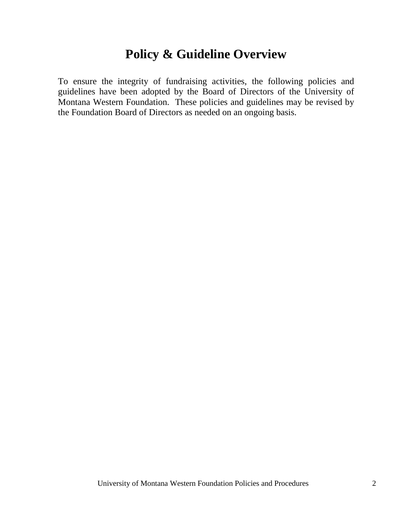# **Policy & Guideline Overview**

To ensure the integrity of fundraising activities, the following policies and guidelines have been adopted by the Board of Directors of the University of Montana Western Foundation. These policies and guidelines may be revised by the Foundation Board of Directors as needed on an ongoing basis.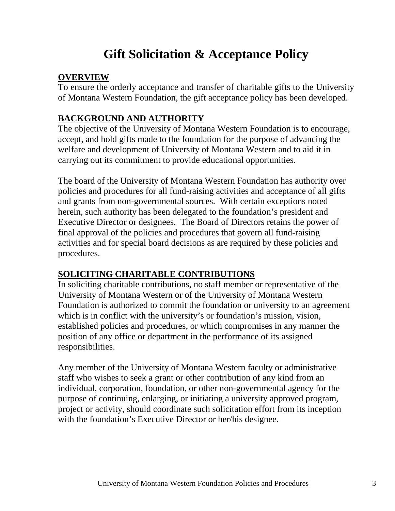# **Gift Solicitation & Acceptance Policy**

### **OVERVIEW**

To ensure the orderly acceptance and transfer of charitable gifts to the University of Montana Western Foundation, the gift acceptance policy has been developed.

## **BACKGROUND AND AUTHORITY**

The objective of the University of Montana Western Foundation is to encourage, accept, and hold gifts made to the foundation for the purpose of advancing the welfare and development of University of Montana Western and to aid it in carrying out its commitment to provide educational opportunities.

The board of the University of Montana Western Foundation has authority over policies and procedures for all fund-raising activities and acceptance of all gifts and grants from non-governmental sources. With certain exceptions noted herein, such authority has been delegated to the foundation's president and Executive Director or designees. The Board of Directors retains the power of final approval of the policies and procedures that govern all fund-raising activities and for special board decisions as are required by these policies and procedures.

# **SOLICITING CHARITABLE CONTRIBUTIONS**

In soliciting charitable contributions, no staff member or representative of the University of Montana Western or of the University of Montana Western Foundation is authorized to commit the foundation or university to an agreement which is in conflict with the university's or foundation's mission, vision, established policies and procedures, or which compromises in any manner the position of any office or department in the performance of its assigned responsibilities.

Any member of the University of Montana Western faculty or administrative staff who wishes to seek a grant or other contribution of any kind from an individual, corporation, foundation, or other non-governmental agency for the purpose of continuing, enlarging, or initiating a university approved program, project or activity, should coordinate such solicitation effort from its inception with the foundation's Executive Director or her/his designee.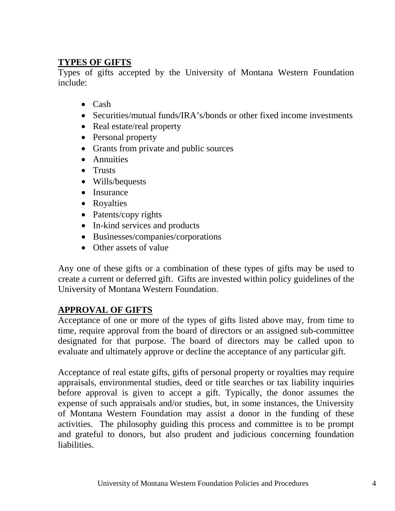### **TYPES OF GIFTS**

Types of gifts accepted by the University of Montana Western Foundation include:

- Cash
- Securities/mutual funds/IRA's/bonds or other fixed income investments
- Real estate/real property
- Personal property
- Grants from private and public sources
- Annuities
- Trusts
- Wills/bequests
- Insurance
- Royalties
- Patents/copy rights
- In-kind services and products
- Businesses/companies/corporations
- Other assets of value

Any one of these gifts or a combination of these types of gifts may be used to create a current or deferred gift. Gifts are invested within policy guidelines of the University of Montana Western Foundation.

## **APPROVAL OF GIFTS**

Acceptance of one or more of the types of gifts listed above may, from time to time, require approval from the board of directors or an assigned sub-committee designated for that purpose. The board of directors may be called upon to evaluate and ultimately approve or decline the acceptance of any particular gift.

Acceptance of real estate gifts, gifts of personal property or royalties may require appraisals, environmental studies, deed or title searches or tax liability inquiries before approval is given to accept a gift. Typically, the donor assumes the expense of such appraisals and/or studies, but, in some instances, the University of Montana Western Foundation may assist a donor in the funding of these activities. The philosophy guiding this process and committee is to be prompt and grateful to donors, but also prudent and judicious concerning foundation liabilities.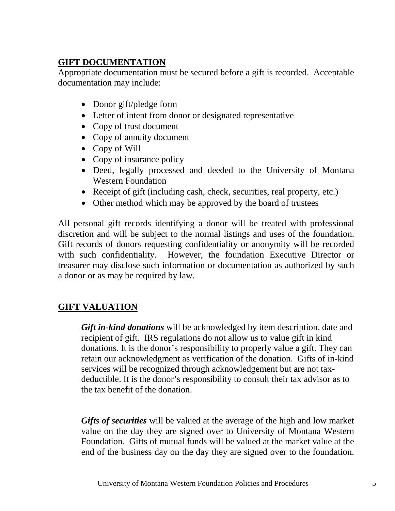## **GIFT DOCUMENTATION**

Appropriate documentation must be secured before a gift is recorded. Acceptable documentation may include:

- Donor gift/pledge form
- Letter of intent from donor or designated representative
- Copy of trust document
- Copy of annuity document
- Copy of Will
- Copy of insurance policy
- Deed, legally processed and deeded to the University of Montana Western Foundation
- Receipt of gift (including cash, check, securities, real property, etc.)
- Other method which may be approved by the board of trustees

All personal gift records identifying a donor will be treated with professional discretion and will be subject to the normal listings and uses of the foundation. Gift records of donors requesting confidentiality or anonymity will be recorded with such confidentiality. However, the foundation Executive Director or treasurer may disclose such information or documentation as authorized by such a donor or as may be required by law.

## **GIFT VALUATION**

*Gift in-kind donations* will be acknowledged by item description, date and recipient of gift. IRS regulations do not allow us to value gift in kind donations. It is the donor's responsibility to properly value a gift. They can retain our acknowledgment as verification of the donation. Gifts of in-kind services will be recognized through acknowledgement but are not taxdeductible. It is the donor's responsibility to consult their tax advisor as to the tax benefit of the donation.

*Gifts of securities* will be valued at the average of the high and low market value on the day they are signed over to University of Montana Western Foundation. Gifts of mutual funds will be valued at the market value at the end of the business day on the day they are signed over to the foundation.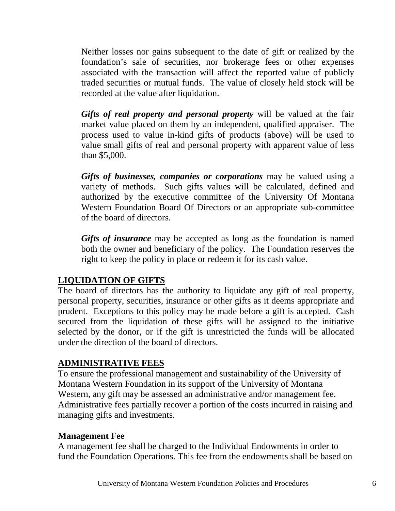Neither losses nor gains subsequent to the date of gift or realized by the foundation's sale of securities, nor brokerage fees or other expenses associated with the transaction will affect the reported value of publicly traded securities or mutual funds. The value of closely held stock will be recorded at the value after liquidation.

*Gifts of real property and personal property* will be valued at the fair market value placed on them by an independent, qualified appraiser. The process used to value in-kind gifts of products (above) will be used to value small gifts of real and personal property with apparent value of less than \$5,000.

*Gifts of businesses, companies or corporations* may be valued using a variety of methods. Such gifts values will be calculated, defined and authorized by the executive committee of the University Of Montana Western Foundation Board Of Directors or an appropriate sub-committee of the board of directors.

*Gifts of insurance* may be accepted as long as the foundation is named both the owner and beneficiary of the policy. The Foundation reserves the right to keep the policy in place or redeem it for its cash value.

### **LIQUIDATION OF GIFTS**

The board of directors has the authority to liquidate any gift of real property, personal property, securities, insurance or other gifts as it deems appropriate and prudent. Exceptions to this policy may be made before a gift is accepted. Cash secured from the liquidation of these gifts will be assigned to the initiative selected by the donor, or if the gift is unrestricted the funds will be allocated under the direction of the board of directors.

### **ADMINISTRATIVE FEES**

To ensure the professional management and sustainability of the University of Montana Western Foundation in its support of the University of Montana Western, any gift may be assessed an administrative and/or management fee. Administrative fees partially recover a portion of the costs incurred in raising and managing gifts and investments.

### **Management Fee**

A management fee shall be charged to the Individual Endowments in order to fund the Foundation Operations. This fee from the endowments shall be based on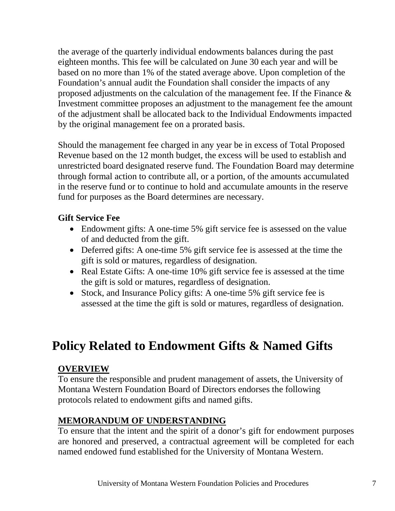the average of the quarterly individual endowments balances during the past eighteen months. This fee will be calculated on June 30 each year and will be based on no more than 1% of the stated average above. Upon completion of the Foundation's annual audit the Foundation shall consider the impacts of any proposed adjustments on the calculation of the management fee. If the Finance & Investment committee proposes an adjustment to the management fee the amount of the adjustment shall be allocated back to the Individual Endowments impacted by the original management fee on a prorated basis.

Should the management fee charged in any year be in excess of Total Proposed Revenue based on the 12 month budget, the excess will be used to establish and unrestricted board designated reserve fund. The Foundation Board may determine through formal action to contribute all, or a portion, of the amounts accumulated in the reserve fund or to continue to hold and accumulate amounts in the reserve fund for purposes as the Board determines are necessary.

### **Gift Service Fee**

- Endowment gifts: A one-time 5% gift service fee is assessed on the value of and deducted from the gift.
- Deferred gifts: A one-time 5% gift service fee is assessed at the time the gift is sold or matures, regardless of designation.
- Real Estate Gifts: A one-time 10% gift service fee is assessed at the time the gift is sold or matures, regardless of designation.
- Stock, and Insurance Policy gifts: A one-time 5% gift service fee is assessed at the time the gift is sold or matures, regardless of designation.

# **Policy Related to Endowment Gifts & Named Gifts**

#### **OVERVIEW**

To ensure the responsible and prudent management of assets, the University of Montana Western Foundation Board of Directors endorses the following protocols related to endowment gifts and named gifts.

#### **MEMORANDUM OF UNDERSTANDING**

To ensure that the intent and the spirit of a donor's gift for endowment purposes are honored and preserved, a contractual agreement will be completed for each named endowed fund established for the University of Montana Western.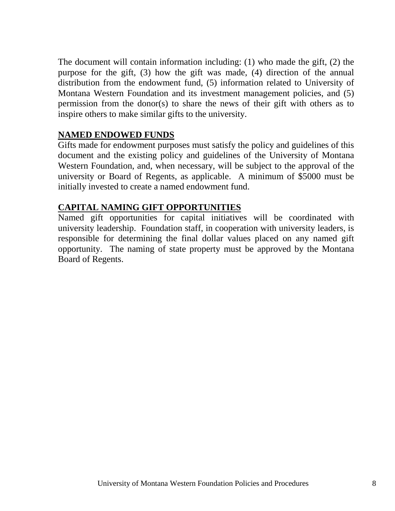The document will contain information including: (1) who made the gift, (2) the purpose for the gift, (3) how the gift was made, (4) direction of the annual distribution from the endowment fund, (5) information related to University of Montana Western Foundation and its investment management policies, and (5) permission from the donor(s) to share the news of their gift with others as to inspire others to make similar gifts to the university.

#### **NAMED ENDOWED FUNDS**

Gifts made for endowment purposes must satisfy the policy and guidelines of this document and the existing policy and guidelines of the University of Montana Western Foundation, and, when necessary, will be subject to the approval of the university or Board of Regents, as applicable. A minimum of \$5000 must be initially invested to create a named endowment fund.

#### **CAPITAL NAMING GIFT OPPORTUNITIES**

Named gift opportunities for capital initiatives will be coordinated with university leadership. Foundation staff, in cooperation with university leaders, is responsible for determining the final dollar values placed on any named gift opportunity. The naming of state property must be approved by the Montana Board of Regents.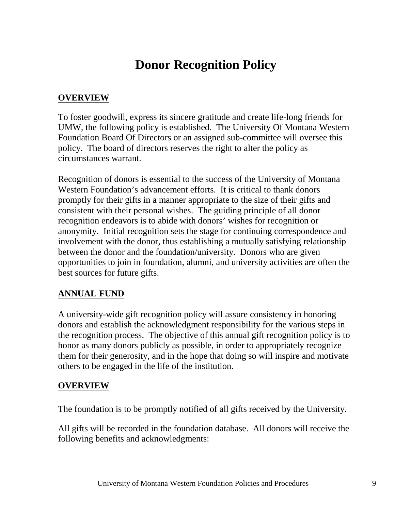# **Donor Recognition Policy**

#### **OVERVIEW**

To foster goodwill, express its sincere gratitude and create life-long friends for UMW, the following policy is established. The University Of Montana Western Foundation Board Of Directors or an assigned sub-committee will oversee this policy. The board of directors reserves the right to alter the policy as circumstances warrant.

Recognition of donors is essential to the success of the University of Montana Western Foundation's advancement efforts. It is critical to thank donors promptly for their gifts in a manner appropriate to the size of their gifts and consistent with their personal wishes. The guiding principle of all donor recognition endeavors is to abide with donors' wishes for recognition or anonymity. Initial recognition sets the stage for continuing correspondence and involvement with the donor, thus establishing a mutually satisfying relationship between the donor and the foundation/university. Donors who are given opportunities to join in foundation, alumni, and university activities are often the best sources for future gifts.

#### **ANNUAL FUND**

A university-wide gift recognition policy will assure consistency in honoring donors and establish the acknowledgment responsibility for the various steps in the recognition process. The objective of this annual gift recognition policy is to honor as many donors publicly as possible, in order to appropriately recognize them for their generosity, and in the hope that doing so will inspire and motivate others to be engaged in the life of the institution.

#### **OVERVIEW**

The foundation is to be promptly notified of all gifts received by the University.

All gifts will be recorded in the foundation database. All donors will receive the following benefits and acknowledgments: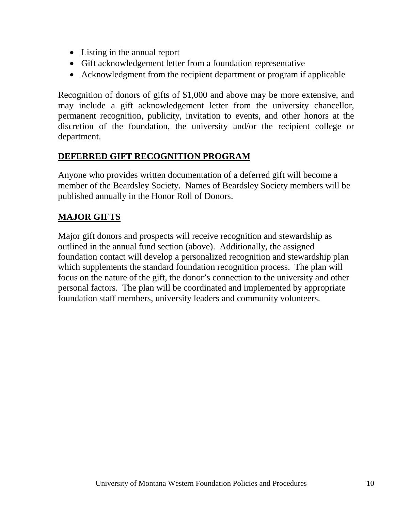- Listing in the annual report
- Gift acknowledgement letter from a foundation representative
- Acknowledgment from the recipient department or program if applicable

Recognition of donors of gifts of \$1,000 and above may be more extensive, and may include a gift acknowledgement letter from the university chancellor, permanent recognition, publicity, invitation to events, and other honors at the discretion of the foundation, the university and/or the recipient college or department.

## **DEFERRED GIFT RECOGNITION PROGRAM**

Anyone who provides written documentation of a deferred gift will become a member of the Beardsley Society. Names of Beardsley Society members will be published annually in the Honor Roll of Donors.

## **MAJOR GIFTS**

Major gift donors and prospects will receive recognition and stewardship as outlined in the annual fund section (above). Additionally, the assigned foundation contact will develop a personalized recognition and stewardship plan which supplements the standard foundation recognition process. The plan will focus on the nature of the gift, the donor's connection to the university and other personal factors. The plan will be coordinated and implemented by appropriate foundation staff members, university leaders and community volunteers.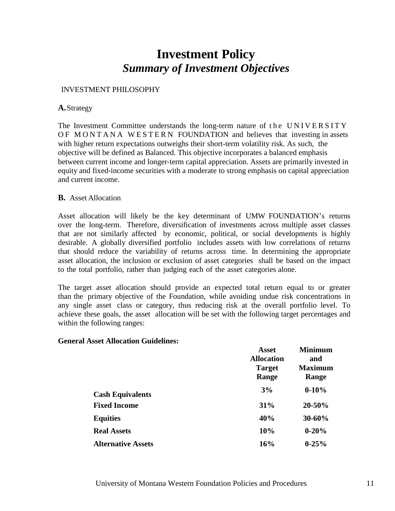# **Investment Policy** *Summary of Investment Objectives*

#### INVESTMENT PHILOSOPHY

#### **A.**Strategy

The Investment Committee understands the long-term nature of the UNIVERSITY OF MONTANA WESTERN FOUNDATION and believes that investing in assets with higher return expectations outweighs their short-term volatility risk. As such, the objective will be defined as Balanced. This objective incorporates a balanced emphasis between current income and longer‐term capital appreciation. Assets are primarily invested in equity and fixed‐income securities with a moderate to strong emphasis on capital appreciation and current income.

#### **B.** Asset Allocation

Asset allocation will likely be the key determinant of UMW FOUNDATION's returns over the long-term. Therefore, diversification of investments across multiple asset classes that are not similarly affected by economic, political, or social developments is highly desirable. A globally diversified portfolio includes assets with low correlations of returns that should reduce the variability of returns across time. In determining the appropriate asset allocation, the inclusion or exclusion of asset categories shall be based on the impact to the total portfolio, rather than judging each of the asset categories alone.

The target asset allocation should provide an expected total return equal to or greater than the primary objective of the Foundation, while avoiding undue risk concentrations in any single asset class or category, thus reducing risk at the overall portfolio level. To achieve these goals, the asset allocation will be set with the following target percentages and within the following ranges:

#### **General Asset Allocation Guidelines:**

|                           | <b>Asset</b>      | <b>Minimum</b> |
|---------------------------|-------------------|----------------|
|                           | <b>Allocation</b> | and            |
|                           | <b>Target</b>     | <b>Maximum</b> |
|                           | Range             | Range          |
| <b>Cash Equivalents</b>   | 3%                | $0 - 10%$      |
| <b>Fixed Income</b>       | 31%               | 20-50%         |
| <b>Equities</b>           | 40%               | 30-60%         |
| <b>Real Assets</b>        | 10%               | $0 - 20%$      |
| <b>Alternative Assets</b> | 16%               | $0 - 25%$      |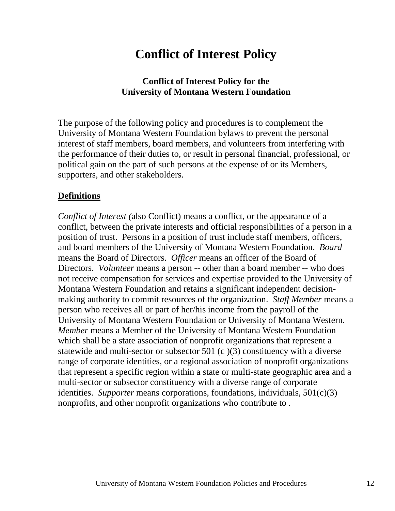# **Conflict of Interest Policy**

#### **Conflict of Interest Policy for the University of Montana Western Foundation**

The purpose of the following policy and procedures is to complement the University of Montana Western Foundation bylaws to prevent the personal interest of staff members, board members, and volunteers from interfering with the performance of their duties to, or result in personal financial, professional, or political gain on the part of such persons at the expense of or its Members, supporters, and other stakeholders.

#### **Definitions**

*Conflict of Interest (*also Conflict) means a conflict, or the appearance of a conflict, between the private interests and official responsibilities of a person in a position of trust. Persons in a position of trust include staff members, officers, and board members of the University of Montana Western Foundation. *Board* means the Board of Directors. *Officer* means an officer of the Board of Directors. *Volunteer* means a person -- other than a board member -- who does not receive compensation for services and expertise provided to the University of Montana Western Foundation and retains a significant independent decisionmaking authority to commit resources of the organization. *Staff Member* means a person who receives all or part of her/his income from the payroll of the University of Montana Western Foundation or University of Montana Western. *Member* means a Member of the University of Montana Western Foundation which shall be a state association of nonprofit organizations that represent a statewide and multi-sector or subsector 501 (c )(3) constituency with a diverse range of corporate identities, or a regional association of nonprofit organizations that represent a specific region within a state or multi-state geographic area and a multi-sector or subsector constituency with a diverse range of corporate identities. *Supporter* means corporations, foundations, individuals, 501(c)(3) nonprofits, and other nonprofit organizations who contribute to .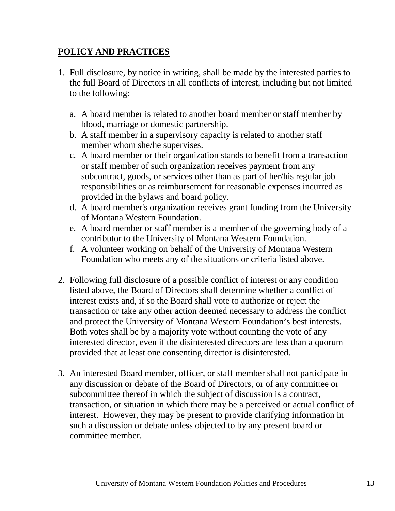### **POLICY AND PRACTICES**

- 1. Full disclosure, by notice in writing, shall be made by the interested parties to the full Board of Directors in all conflicts of interest, including but not limited to the following:
	- a. A board member is related to another board member or staff member by blood, marriage or domestic partnership.
	- b. A staff member in a supervisory capacity is related to another staff member whom she/he supervises.
	- c. A board member or their organization stands to benefit from a transaction or staff member of such organization receives payment from any subcontract, goods, or services other than as part of her/his regular job responsibilities or as reimbursement for reasonable expenses incurred as provided in the bylaws and board policy.
	- d. A board member's organization receives grant funding from the University of Montana Western Foundation.
	- e. A board member or staff member is a member of the governing body of a contributor to the University of Montana Western Foundation.
	- f. A volunteer working on behalf of the University of Montana Western Foundation who meets any of the situations or criteria listed above.
- 2. Following full disclosure of a possible conflict of interest or any condition listed above, the Board of Directors shall determine whether a conflict of interest exists and, if so the Board shall vote to authorize or reject the transaction or take any other action deemed necessary to address the conflict and protect the University of Montana Western Foundation's best interests. Both votes shall be by a majority vote without counting the vote of any interested director, even if the disinterested directors are less than a quorum provided that at least one consenting director is disinterested.
- 3. An interested Board member, officer, or staff member shall not participate in any discussion or debate of the Board of Directors, or of any committee or subcommittee thereof in which the subject of discussion is a contract, transaction, or situation in which there may be a perceived or actual conflict of interest. However, they may be present to provide clarifying information in such a discussion or debate unless objected to by any present board or committee member.